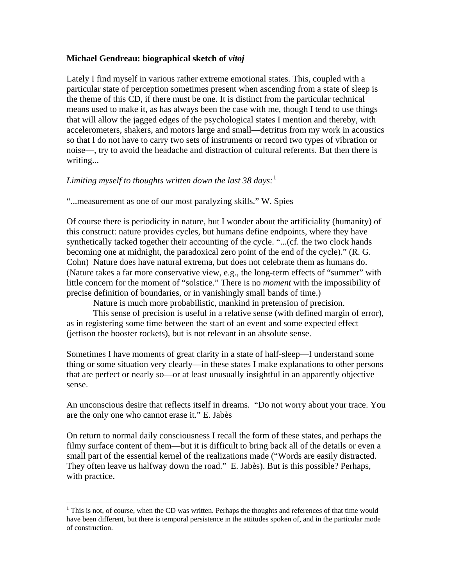## **Michael Gendreau: biographical sketch of** *vitoj*

Lately I find myself in various rather extreme emotional states. This, coupled with a particular state of perception sometimes present when ascending from a state of sleep is the theme of this CD, if there must be one. It is distinct from the particular technical means used to make it, as has always been the case with me, though I tend to use things that will allow the jagged edges of the psychological states I mention and thereby, with accelerometers, shakers, and motors large and small—detritus from my work in acoustics so that I do not have to carry two sets of instruments or record two types of vibration or noise—, try to avoid the headache and distraction of cultural referents. But then there is writing...

## *Limiting myself to thoughts written down the last 38 days:*[1](#page-0-0)

"...measurement as one of our most paralyzing skills." W. Spies

Of course there is periodicity in nature, but I wonder about the artificiality (humanity) of this construct: nature provides cycles, but humans define endpoints, where they have synthetically tacked together their accounting of the cycle. "...(cf. the two clock hands becoming one at midnight, the paradoxical zero point of the end of the cycle)." (R. G. Cohn) Nature does have natural extrema, but does not celebrate them as humans do. (Nature takes a far more conservative view, e.g., the long-term effects of "summer" with little concern for the moment of "solstice." There is no *moment* with the impossibility of precise definition of boundaries, or in vanishingly small bands of time.)

Nature is much more probabilistic, mankind in pretension of precision.

This sense of precision is useful in a relative sense (with defined margin of error), as in registering some time between the start of an event and some expected effect (jettison the booster rockets), but is not relevant in an absolute sense.

Sometimes I have moments of great clarity in a state of half-sleep—I understand some thing or some situation very clearly—in these states I make explanations to other persons that are perfect or nearly so—or at least unusually insightful in an apparently objective sense.

An unconscious desire that reflects itself in dreams. "Do not worry about your trace. You are the only one who cannot erase it." E. Jabès

On return to normal daily consciousness I recall the form of these states, and perhaps the filmy surface content of them—but it is difficult to bring back all of the details or even a small part of the essential kernel of the realizations made ("Words are easily distracted. They often leave us halfway down the road." E. Jabès). But is this possible? Perhaps, with practice.

 $\overline{a}$ 

<span id="page-0-0"></span> $1$  This is not, of course, when the CD was written. Perhaps the thoughts and references of that time would have been different, but there is temporal persistence in the attitudes spoken of, and in the particular mode of construction.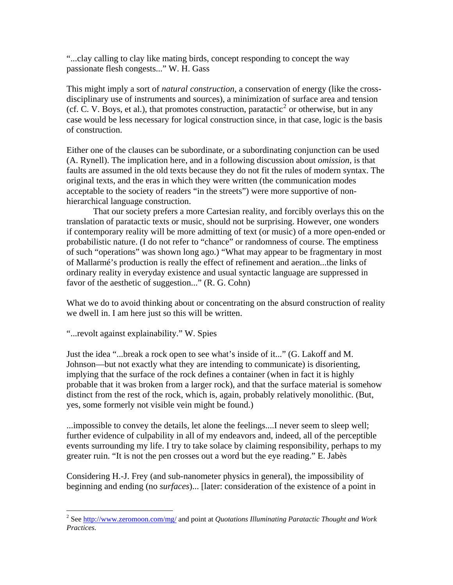"...clay calling to clay like mating birds, concept responding to concept the way passionate flesh congests..." W. H. Gass

This might imply a sort of *natural construction*, a conservation of energy (like the crossdisciplinary use of instruments and sources), a minimization of surface area and tension (cf. C. V. Boys, et al.), that promotes construction, paratactic<sup>[2](#page-1-0)</sup> or otherwise, but in any case would be less necessary for logical construction since, in that case, logic is the basis of construction.

Either one of the clauses can be subordinate, or a subordinating conjunction can be used (A. Rynell). The implication here, and in a following discussion about *omission*, is that faults are assumed in the old texts because they do not fit the rules of modern syntax. The original texts, and the eras in which they were written (the communication modes acceptable to the society of readers "in the streets") were more supportive of nonhierarchical language construction.

That our society prefers a more Cartesian reality, and forcibly overlays this on the translation of paratactic texts or music, should not be surprising. However, one wonders if contemporary reality will be more admitting of text (or music) of a more open-ended or probabilistic nature. (I do not refer to "chance" or randomness of course. The emptiness of such "operations" was shown long ago.) "What may appear to be fragmentary in most of Mallarmé's production is really the effect of refinement and aeration...the links of ordinary reality in everyday existence and usual syntactic language are suppressed in favor of the aesthetic of suggestion..." (R. G. Cohn)

What we do to avoid thinking about or concentrating on the absurd construction of reality we dwell in. I am here just so this will be written.

"...revolt against explainability." W. Spies

Just the idea "...break a rock open to see what's inside of it..." (G. Lakoff and M. Johnson—but not exactly what they are intending to communicate) is disorienting, implying that the surface of the rock defines a container (when in fact it is highly probable that it was broken from a larger rock), and that the surface material is somehow distinct from the rest of the rock, which is, again, probably relatively monolithic. (But, yes, some formerly not visible vein might be found.)

...impossible to convey the details, let alone the feelings....I never seem to sleep well; further evidence of culpability in all of my endeavors and, indeed, all of the perceptible events surrounding my life. I try to take solace by claiming responsibility, perhaps to my greater ruin. "It is not the pen crosses out a word but the eye reading." E. Jabès

Considering H.-J. Frey (and sub-nanometer physics in general), the impossibility of beginning and ending (no *surfaces*)... [later: consideration of the existence of a point in

<span id="page-1-0"></span> 2 See <http://www.zeromoon.com/mg/>and point at *Quotations Illuminating Paratactic Thought and Work Practices.*